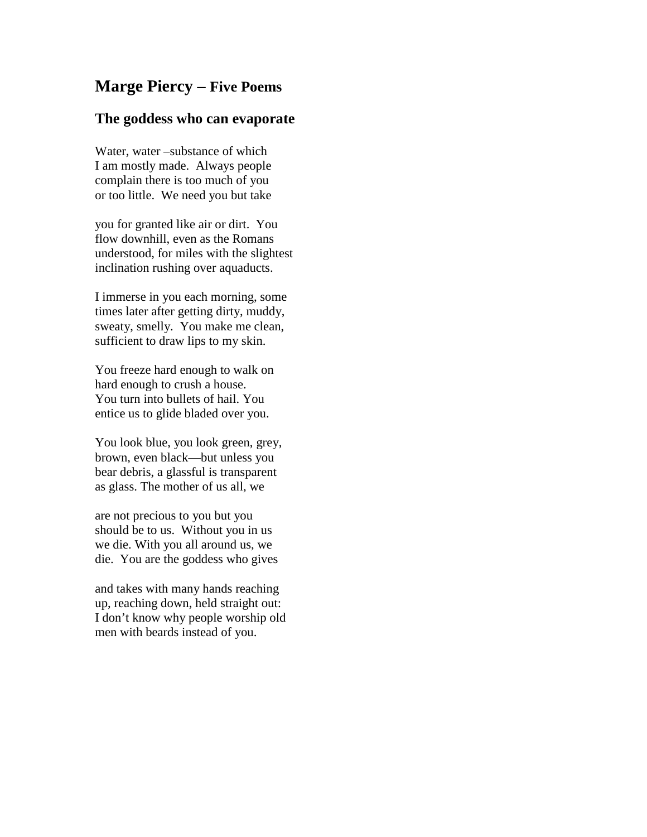# **Marge Piercy – Five Poems**

### **The goddess who can evaporate**

Water, water –substance of which I am mostly made. Always people complain there is too much of you or too little. We need you but take

you for granted like air or dirt. You flow downhill, even as the Romans understood, for miles with the slightest inclination rushing over aquaducts.

I immerse in you each morning, some times later after getting dirty, muddy, sweaty, smelly. You make me clean, sufficient to draw lips to my skin.

You freeze hard enough to walk on hard enough to crush a house. You turn into bullets of hail. You entice us to glide bladed over you.

You look blue, you look green, grey, brown, even black—but unless you bear debris, a glassful is transparent as glass. The mother of us all, we

are not precious to you but you should be to us. Without you in us we die. With you all around us, we die. You are the goddess who gives

and takes with many hands reaching up, reaching down, held straight out: I don't know why people worship old men with beards instead of you.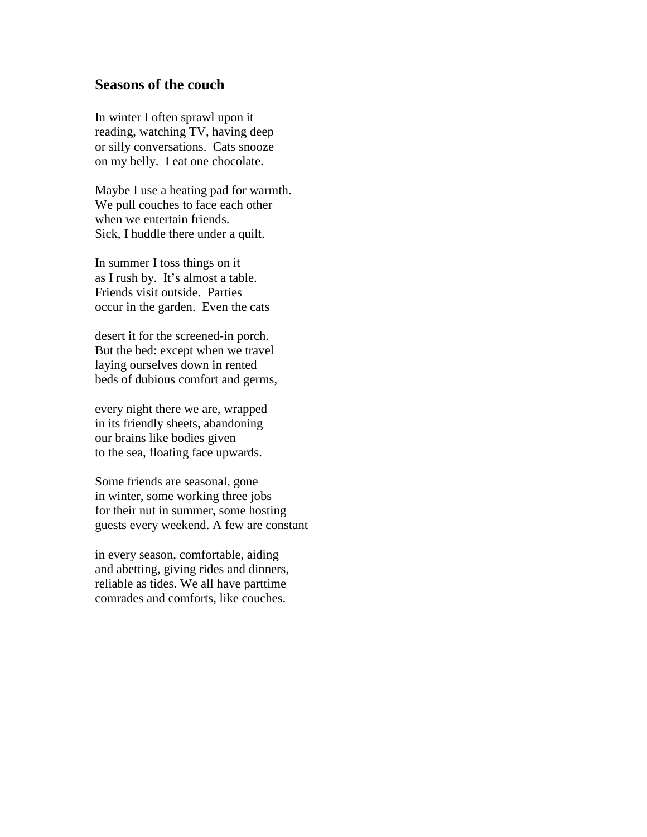#### **Seasons of the couch**

In winter I often sprawl upon it reading, watching TV, having deep or silly conversations. Cats snooze on my belly. I eat one chocolate.

Maybe I use a heating pad for warmth. We pull couches to face each other when we entertain friends. Sick, I huddle there under a quilt.

In summer I toss things on it as I rush by. It's almost a table. Friends visit outside. Parties occur in the garden. Even the cats

desert it for the screened-in porch. But the bed: except when we travel laying ourselves down in rented beds of dubious comfort and germs,

every night there we are, wrapped in its friendly sheets, abandoning our brains like bodies given to the sea, floating face upwards.

Some friends are seasonal, gone in winter, some working three jobs for their nut in summer, some hosting guests every weekend. A few are constant

in every season, comfortable, aiding and abetting, giving rides and dinners, reliable as tides. We all have parttime comrades and comforts, like couches.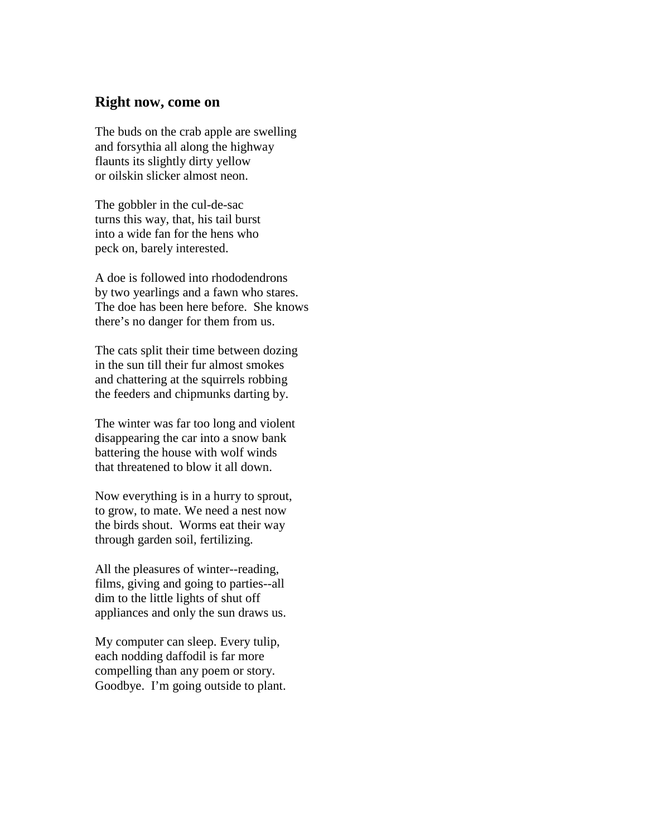#### **Right now, come on**

The buds on the crab apple are swelling and forsythia all along the highway flaunts its slightly dirty yellow or oilskin slicker almost neon.

The gobbler in the cul-de-sac turns this way, that, his tail burst into a wide fan for the hens who peck on, barely interested.

A doe is followed into rhododendrons by two yearlings and a fawn who stares. The doe has been here before. She knows there's no danger for them from us.

The cats split their time between dozing in the sun till their fur almost smokes and chattering at the squirrels robbing the feeders and chipmunks darting by.

The winter was far too long and violent disappearing the car into a snow bank battering the house with wolf winds that threatened to blow it all down.

Now everything is in a hurry to sprout, to grow, to mate. We need a nest now the birds shout. Worms eat their way through garden soil, fertilizing.

All the pleasures of winter--reading, films, giving and going to parties--all dim to the little lights of shut off appliances and only the sun draws us.

My computer can sleep. Every tulip, each nodding daffodil is far more compelling than any poem or story. Goodbye. I'm going outside to plant.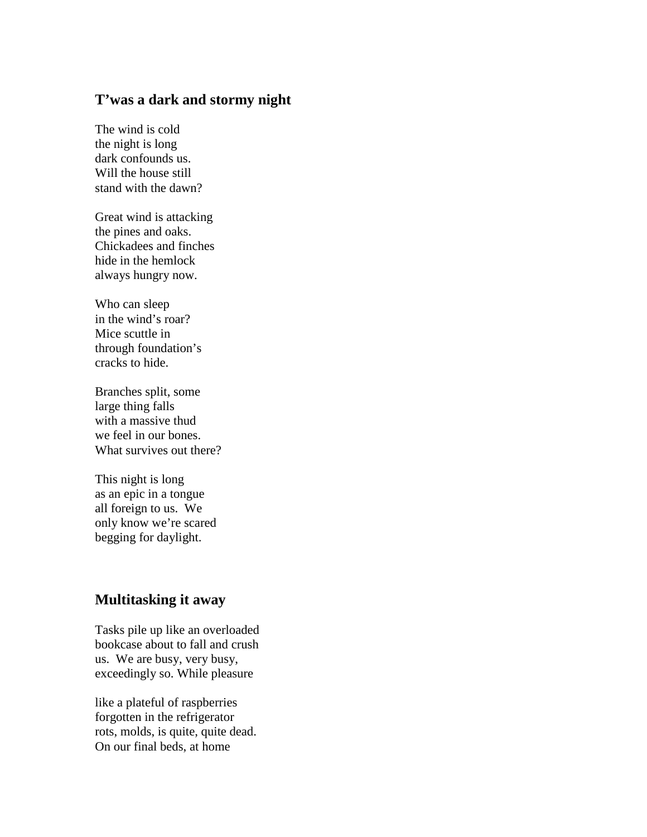## **T'was a dark and stormy night**

The wind is cold the night is long dark confounds us. Will the house still stand with the dawn?

Great wind is attacking the pines and oaks. Chickadees and finches hide in the hemlock always hungry now.

Who can sleep in the wind's roar? Mice scuttle in through foundation's cracks to hide.

Branches split, some large thing falls with a massive thud we feel in our bones. What survives out there?

This night is long as an epic in a tongue all foreign to us. We only know we're scared begging for daylight.

## **Multitasking it away**

Tasks pile up like an overloaded bookcase about to fall and crush us. We are busy, very busy, exceedingly so. While pleasure

like a plateful of raspberries forgotten in the refrigerator rots, molds, is quite, quite dead. On our final beds, at home